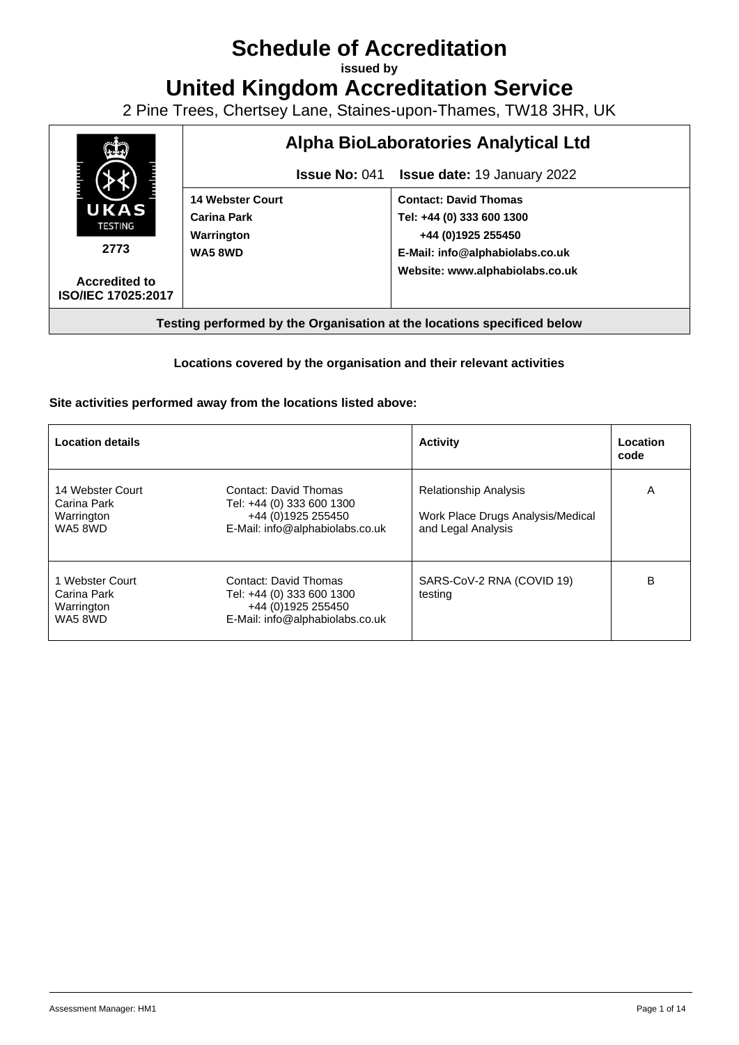## **Schedule of Accreditation**

**issued by**

**United Kingdom Accreditation Service**

2 Pine Trees, Chertsey Lane, Staines-upon-Thames, TW18 3HR, UK



## **Locations covered by the organisation and their relevant activities**

## **Site activities performed away from the locations listed above:**

| <b>Location details</b>                                 |                                                                                                             | <b>Activity</b>                                                                         | Location<br>code |
|---------------------------------------------------------|-------------------------------------------------------------------------------------------------------------|-----------------------------------------------------------------------------------------|------------------|
| 14 Webster Court<br>Carina Park<br>Warrington<br>WA58WD | Contact: David Thomas<br>Tel: +44 (0) 333 600 1300<br>+44 (0)1925 255450<br>E-Mail: info@alphabiolabs.co.uk | <b>Relationship Analysis</b><br>Work Place Drugs Analysis/Medical<br>and Legal Analysis | A                |
| 1 Webster Court<br>Carina Park<br>Warrington<br>WA58WD  | Contact: David Thomas<br>Tel: +44 (0) 333 600 1300<br>+44 (0)1925 255450<br>E-Mail: info@alphabiolabs.co.uk | SARS-CoV-2 RNA (COVID 19)<br>testing                                                    | В                |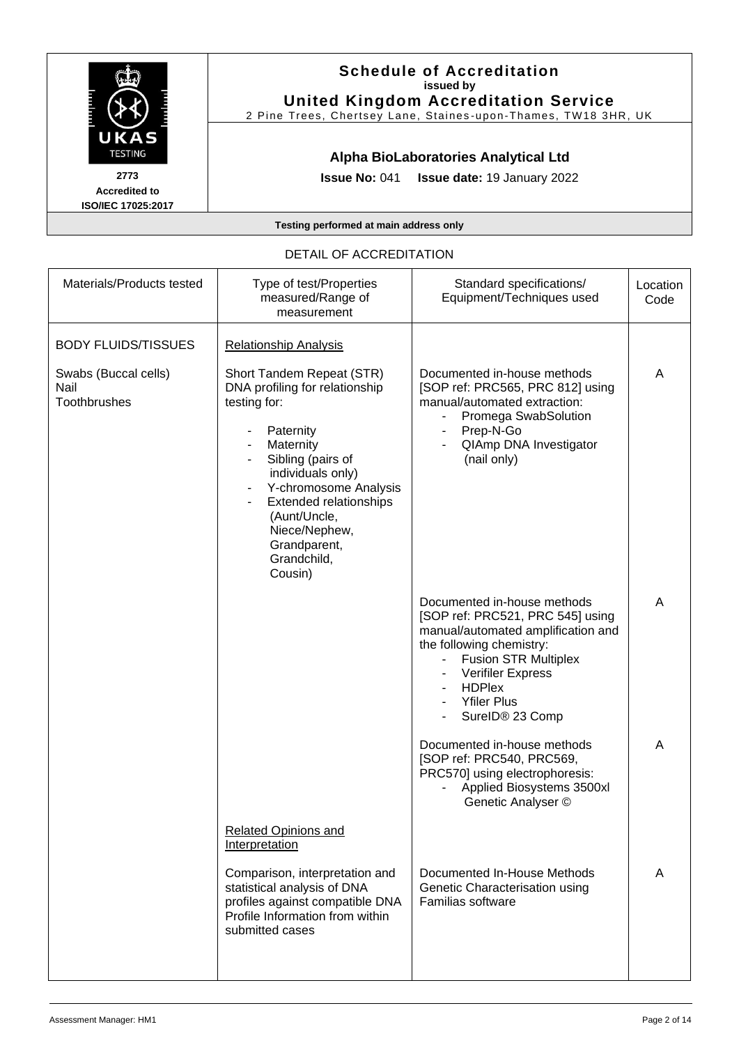|                                                           | <b>Schedule of Accreditation</b><br>issued by<br><b>United Kingdom Accreditation Service</b><br>2 Pine Trees, Chertsey Lane, Staines-upon-Thames, TW18 3HR, UK |
|-----------------------------------------------------------|----------------------------------------------------------------------------------------------------------------------------------------------------------------|
| UKAS<br><b>TESTING</b>                                    | Alpha BioLaboratories Analytical Ltd                                                                                                                           |
| 2773<br><b>Accredited to</b><br><b>ISO/IEC 17025:2017</b> | <b>Issue No: 041 Issue date: 19 January 2022</b>                                                                                                               |
|                                                           | Testing performed at main address only                                                                                                                         |

| Materials/Products tested                    | Type of test/Properties<br>measured/Range of<br>measurement                                                                                                                                                                                                                          | Standard specifications/<br>Equipment/Techniques used                                                                                                                                                                                                  | Location<br>Code |
|----------------------------------------------|--------------------------------------------------------------------------------------------------------------------------------------------------------------------------------------------------------------------------------------------------------------------------------------|--------------------------------------------------------------------------------------------------------------------------------------------------------------------------------------------------------------------------------------------------------|------------------|
|                                              |                                                                                                                                                                                                                                                                                      |                                                                                                                                                                                                                                                        |                  |
| <b>BODY FLUIDS/TISSUES</b>                   | <b>Relationship Analysis</b>                                                                                                                                                                                                                                                         |                                                                                                                                                                                                                                                        |                  |
| Swabs (Buccal cells)<br>Nail<br>Toothbrushes | Short Tandem Repeat (STR)<br>DNA profiling for relationship<br>testing for:<br>Paternity<br>Maternity<br>Sibling (pairs of<br>individuals only)<br>Y-chromosome Analysis<br><b>Extended relationships</b><br>(Aunt/Uncle,<br>Niece/Nephew,<br>Grandparent,<br>Grandchild,<br>Cousin) | Documented in-house methods<br>[SOP ref: PRC565, PRC 812] using<br>manual/automated extraction:<br>Promega SwabSolution<br>Prep-N-Go<br>QIAmp DNA Investigator<br>(nail only)                                                                          | A                |
|                                              |                                                                                                                                                                                                                                                                                      | Documented in-house methods<br>[SOP ref: PRC521, PRC 545] using<br>manual/automated amplification and<br>the following chemistry:<br><b>Fusion STR Multiplex</b><br><b>Verifiler Express</b><br><b>HDPlex</b><br><b>Yfiler Plus</b><br>SurelD® 23 Comp | A                |
|                                              |                                                                                                                                                                                                                                                                                      | Documented in-house methods<br>[SOP ref: PRC540, PRC569,<br>PRC570] using electrophoresis:<br>Applied Biosystems 3500xl<br>Genetic Analyser ©                                                                                                          | A                |
|                                              | <b>Related Opinions and</b><br>Interpretation                                                                                                                                                                                                                                        |                                                                                                                                                                                                                                                        |                  |
|                                              | Comparison, interpretation and<br>statistical analysis of DNA<br>profiles against compatible DNA<br>Profile Information from within<br>submitted cases                                                                                                                               | Documented In-House Methods<br>Genetic Characterisation using<br>Familias software                                                                                                                                                                     | A                |

## DETAIL OF ACCREDITATION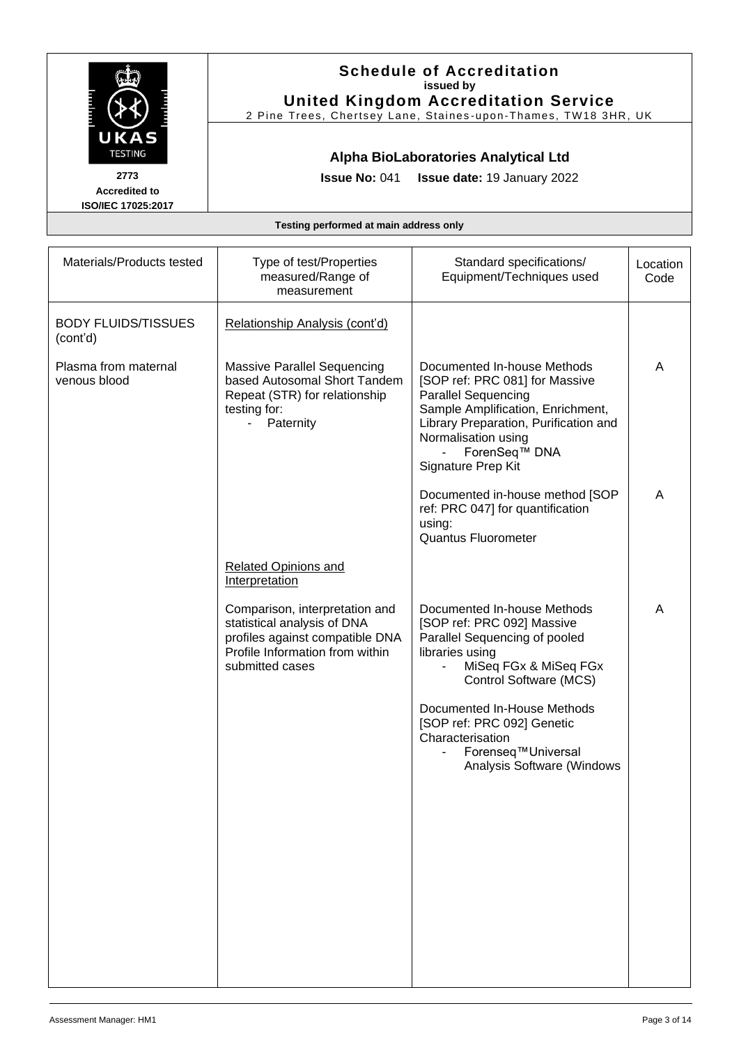|                                                                              |                                                                                                                                                        | <b>Schedule of Accreditation</b><br>issued by<br><b>United Kingdom Accreditation Service</b><br>2 Pine Trees, Chertsey Lane, Staines-upon-Thames, TW18 3HR, UK                                                                                                                                        |                  |
|------------------------------------------------------------------------------|--------------------------------------------------------------------------------------------------------------------------------------------------------|-------------------------------------------------------------------------------------------------------------------------------------------------------------------------------------------------------------------------------------------------------------------------------------------------------|------------------|
| UKAS<br><b>TESTING</b><br>2773<br><b>Accredited to</b><br>ISO/IEC 17025:2017 | <b>Issue No: 041</b>                                                                                                                                   | Alpha BioLaboratories Analytical Ltd<br>Issue date: 19 January 2022                                                                                                                                                                                                                                   |                  |
|                                                                              | Testing performed at main address only                                                                                                                 |                                                                                                                                                                                                                                                                                                       |                  |
| Materials/Products tested                                                    | Type of test/Properties<br>measured/Range of<br>measurement                                                                                            | Standard specifications/<br>Equipment/Techniques used                                                                                                                                                                                                                                                 | Location<br>Code |
| <b>BODY FLUIDS/TISSUES</b><br>(cont'd)                                       | Relationship Analysis (cont'd)                                                                                                                         |                                                                                                                                                                                                                                                                                                       |                  |
| Plasma from maternal<br>venous blood                                         | <b>Massive Parallel Sequencing</b><br>based Autosomal Short Tandem<br>Repeat (STR) for relationship<br>testing for:<br>Paternity<br>$\sim$             | Documented In-house Methods<br>[SOP ref: PRC 081] for Massive<br><b>Parallel Sequencing</b><br>Sample Amplification, Enrichment,<br>Library Preparation, Purification and<br>Normalisation using<br>ForenSeq <sup>™</sup> DNA<br>Signature Prep Kit                                                   | A                |
|                                                                              |                                                                                                                                                        | Documented in-house method [SOP<br>ref: PRC 047] for quantification<br>using:<br>Quantus Fluorometer                                                                                                                                                                                                  | A                |
|                                                                              | <b>Related Opinions and</b><br>Interpretation                                                                                                          |                                                                                                                                                                                                                                                                                                       |                  |
|                                                                              | Comparison, interpretation and<br>statistical analysis of DNA<br>profiles against compatible DNA<br>Profile Information from within<br>submitted cases | Documented In-house Methods<br>[SOP ref: PRC 092] Massive<br>Parallel Sequencing of pooled<br>libraries using<br>MiSeq FGx & MiSeq FGx<br>Control Software (MCS)<br>Documented In-House Methods<br>[SOP ref: PRC 092] Genetic<br>Characterisation<br>Forenseq™Universal<br>Analysis Software (Windows | Α                |
|                                                                              |                                                                                                                                                        |                                                                                                                                                                                                                                                                                                       |                  |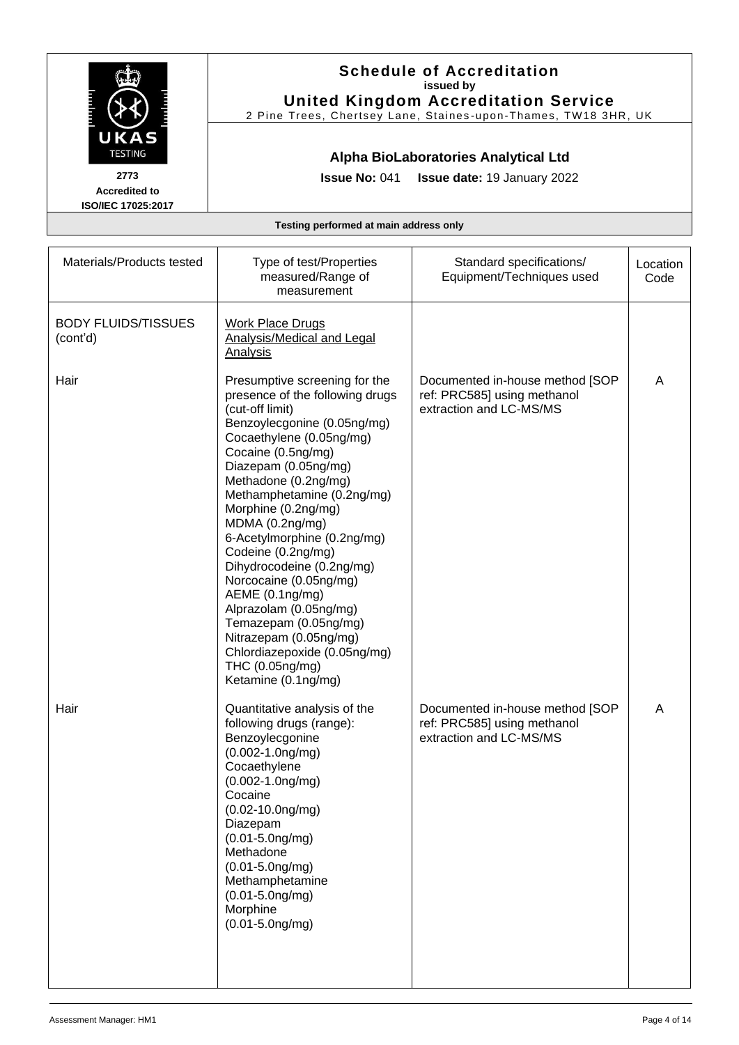|                                                                              |                                                                                                                                                                                                                                                                                                                                                                                                                                                                                                                                                                                    | <b>Schedule of Accreditation</b><br>issued by<br><b>United Kingdom Accreditation Service</b><br>2 Pine Trees, Chertsey Lane, Staines-upon-Thames, TW18 3HR, UK |                  |
|------------------------------------------------------------------------------|------------------------------------------------------------------------------------------------------------------------------------------------------------------------------------------------------------------------------------------------------------------------------------------------------------------------------------------------------------------------------------------------------------------------------------------------------------------------------------------------------------------------------------------------------------------------------------|----------------------------------------------------------------------------------------------------------------------------------------------------------------|------------------|
| UKAS<br><b>TESTING</b><br>2773<br><b>Accredited to</b><br>ISO/IEC 17025:2017 | <b>Issue No: 041</b>                                                                                                                                                                                                                                                                                                                                                                                                                                                                                                                                                               | Alpha BioLaboratories Analytical Ltd<br><b>Issue date: 19 January 2022</b>                                                                                     |                  |
|                                                                              | Testing performed at main address only                                                                                                                                                                                                                                                                                                                                                                                                                                                                                                                                             |                                                                                                                                                                |                  |
| Materials/Products tested                                                    | Type of test/Properties<br>measured/Range of<br>measurement                                                                                                                                                                                                                                                                                                                                                                                                                                                                                                                        | Standard specifications/<br>Equipment/Techniques used                                                                                                          | Location<br>Code |
| <b>BODY FLUIDS/TISSUES</b><br>(cont'd)                                       | <b>Work Place Drugs</b><br><b>Analysis/Medical and Legal</b><br><b>Analysis</b>                                                                                                                                                                                                                                                                                                                                                                                                                                                                                                    |                                                                                                                                                                |                  |
| Hair                                                                         | Presumptive screening for the<br>presence of the following drugs<br>(cut-off limit)<br>Benzoylecgonine (0.05ng/mg)<br>Cocaethylene (0.05ng/mg)<br>Cocaine (0.5ng/mg)<br>Diazepam (0.05ng/mg)<br>Methadone (0.2ng/mg)<br>Methamphetamine (0.2ng/mg)<br>Morphine (0.2ng/mg)<br>MDMA (0.2ng/mg)<br>6-Acetylmorphine (0.2ng/mg)<br>Codeine (0.2ng/mg)<br>Dihydrocodeine (0.2ng/mg)<br>Norcocaine (0.05ng/mg)<br>AEME (0.1ng/mg)<br>Alprazolam (0.05ng/mg)<br>Temazepam (0.05ng/mg)<br>Nitrazepam (0.05ng/mg)<br>Chlordiazepoxide (0.05ng/mg)<br>THC (0.05ng/mg)<br>Ketamine (0.1ng/mg) | Documented in-house method [SOP<br>ref: PRC585] using methanol<br>extraction and LC-MS/MS                                                                      | A                |
| Hair                                                                         | Quantitative analysis of the<br>following drugs (range):<br>Benzoylecgonine<br>$(0.002 - 1.0$ ng/mg)<br>Cocaethylene<br>$(0.002 - 1.0$ ng/mg)<br>Cocaine<br>$(0.02 - 10.0$ ng/mg)<br>Diazepam<br>$(0.01 - 5.0)$ ng/mg)<br>Methadone<br>$(0.01 - 5.0)$ ng/mg)<br>Methamphetamine<br>$(0.01 - 5.0)$ ng/mg)<br>Morphine<br>$(0.01 - 5.0)$ ng/mg)                                                                                                                                                                                                                                      | Documented in-house method [SOP<br>ref: PRC585] using methanol<br>extraction and LC-MS/MS                                                                      | A                |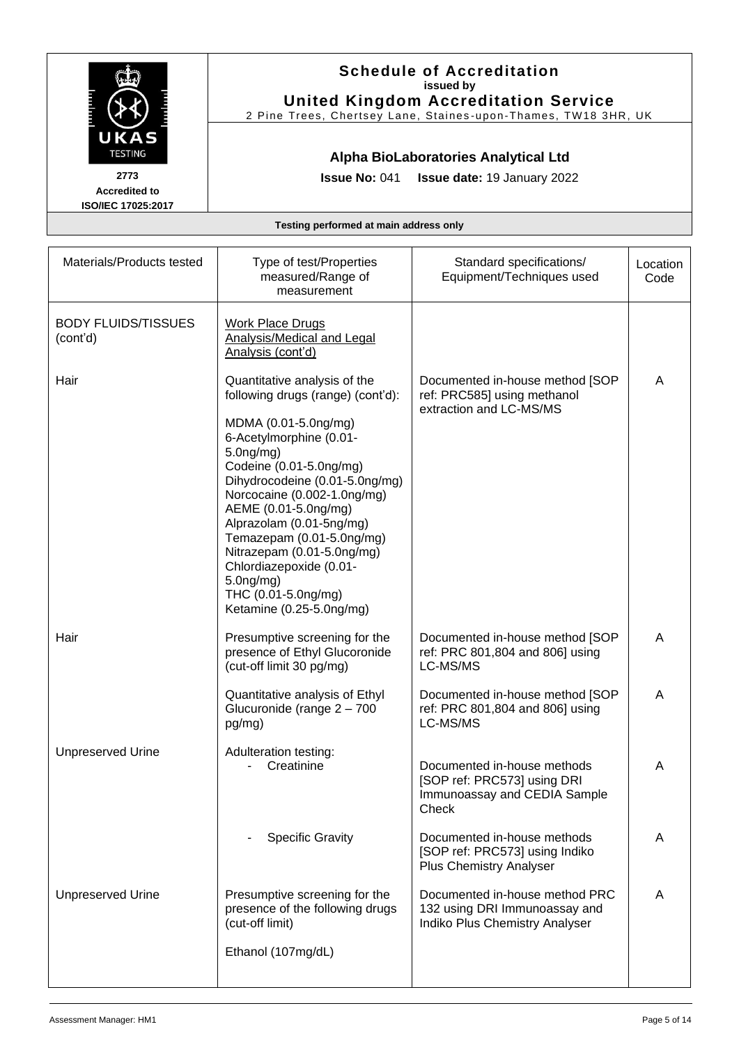|                                        |                                                                                                                                                                                                                                                                                                                                                                          | <b>Schedule of Accreditation</b><br>issued by<br><b>United Kingdom Accreditation Service</b><br>2 Pine Trees, Chertsey Lane, Staines-upon-Thames, TW18 3HR, UK |                  |
|----------------------------------------|--------------------------------------------------------------------------------------------------------------------------------------------------------------------------------------------------------------------------------------------------------------------------------------------------------------------------------------------------------------------------|----------------------------------------------------------------------------------------------------------------------------------------------------------------|------------------|
| UKAS<br><b>TESTING</b>                 |                                                                                                                                                                                                                                                                                                                                                                          | Alpha BioLaboratories Analytical Ltd                                                                                                                           |                  |
| 2773<br><b>Accredited to</b>           | <b>Issue No: 041</b>                                                                                                                                                                                                                                                                                                                                                     | <b>Issue date: 19 January 2022</b>                                                                                                                             |                  |
| ISO/IEC 17025:2017                     |                                                                                                                                                                                                                                                                                                                                                                          |                                                                                                                                                                |                  |
|                                        | Testing performed at main address only                                                                                                                                                                                                                                                                                                                                   |                                                                                                                                                                |                  |
| Materials/Products tested              | Type of test/Properties<br>measured/Range of<br>measurement                                                                                                                                                                                                                                                                                                              | Standard specifications/<br>Equipment/Techniques used                                                                                                          | Location<br>Code |
| <b>BODY FLUIDS/TISSUES</b><br>(cont'd) | <b>Work Place Drugs</b><br>Analysis/Medical and Legal<br>Analysis (cont'd)                                                                                                                                                                                                                                                                                               |                                                                                                                                                                |                  |
| Hair                                   | Quantitative analysis of the<br>following drugs (range) (cont'd):                                                                                                                                                                                                                                                                                                        | Documented in-house method [SOP<br>ref: PRC585] using methanol<br>extraction and LC-MS/MS                                                                      | A                |
|                                        | MDMA (0.01-5.0ng/mg)<br>6-Acetylmorphine (0.01-<br>$5.0$ ng/mg)<br>Codeine (0.01-5.0ng/mg)<br>Dihydrocodeine (0.01-5.0ng/mg)<br>Norcocaine (0.002-1.0ng/mg)<br>AEME (0.01-5.0ng/mg)<br>Alprazolam (0.01-5ng/mg)<br>Temazepam (0.01-5.0ng/mg)<br>Nitrazepam (0.01-5.0ng/mg)<br>Chlordiazepoxide (0.01-<br>$5.0$ ng/mg)<br>THC (0.01-5.0ng/mg)<br>Ketamine (0.25-5.0ng/mg) |                                                                                                                                                                |                  |
| Hair                                   | Presumptive screening for the<br>presence of Ethyl Glucoronide<br>(cut-off limit 30 pg/mg)                                                                                                                                                                                                                                                                               | Documented in-house method [SOP<br>ref: PRC 801,804 and 806] using<br>LC-MS/MS                                                                                 | A                |
|                                        | Quantitative analysis of Ethyl<br>Glucuronide (range 2 - 700<br>pg/mg)                                                                                                                                                                                                                                                                                                   | Documented in-house method [SOP<br>ref: PRC 801,804 and 806] using<br>LC-MS/MS                                                                                 | A                |
| <b>Unpreserved Urine</b>               | Adulteration testing:<br>Creatinine                                                                                                                                                                                                                                                                                                                                      | Documented in-house methods<br>[SOP ref: PRC573] using DRI<br>Immunoassay and CEDIA Sample<br>Check                                                            | A                |
|                                        | <b>Specific Gravity</b>                                                                                                                                                                                                                                                                                                                                                  | Documented in-house methods<br>[SOP ref: PRC573] using Indiko<br><b>Plus Chemistry Analyser</b>                                                                | A                |
| <b>Unpreserved Urine</b>               | Presumptive screening for the<br>presence of the following drugs<br>(cut-off limit)<br>Ethanol (107mg/dL)                                                                                                                                                                                                                                                                | Documented in-house method PRC<br>132 using DRI Immunoassay and<br>Indiko Plus Chemistry Analyser                                                              | A                |
|                                        |                                                                                                                                                                                                                                                                                                                                                                          |                                                                                                                                                                |                  |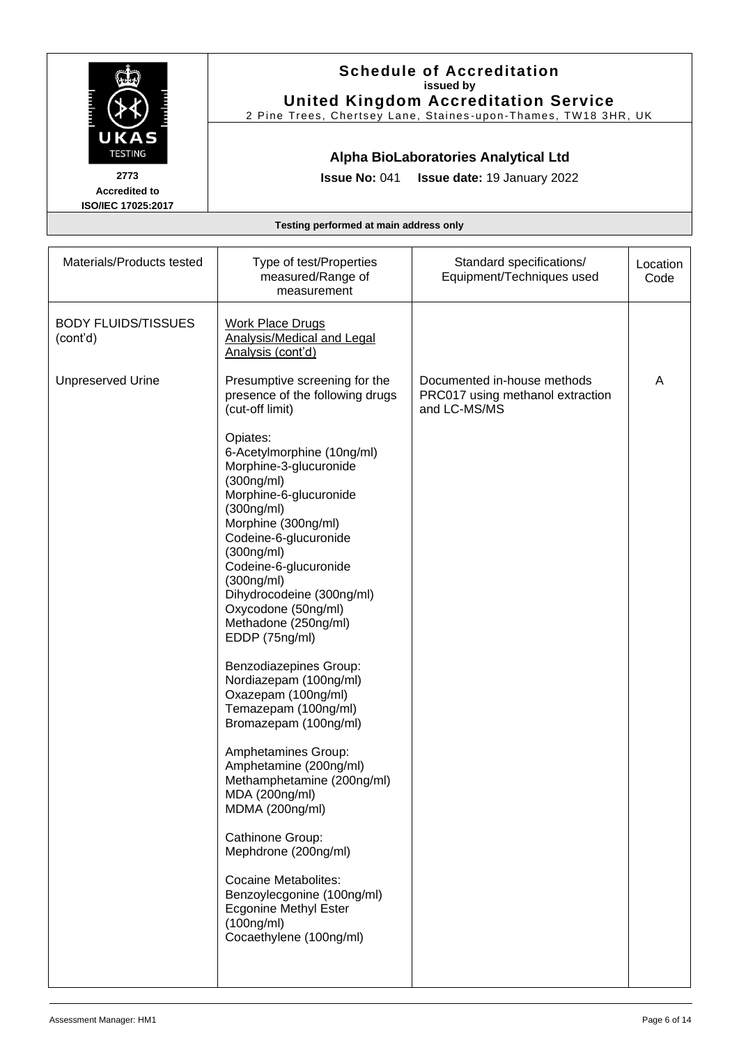|                                                                              | <b>Schedule of Accreditation</b><br>issued by<br><b>United Kingdom Accreditation Service</b><br>2 Pine Trees, Chertsey Lane, Staines-upon-Thames, TW18 3HR, UK                                                                                                                                                                                                                                                                                                                                                                                                                                                                                                                                                                                              |                                                                                 |                  |
|------------------------------------------------------------------------------|-------------------------------------------------------------------------------------------------------------------------------------------------------------------------------------------------------------------------------------------------------------------------------------------------------------------------------------------------------------------------------------------------------------------------------------------------------------------------------------------------------------------------------------------------------------------------------------------------------------------------------------------------------------------------------------------------------------------------------------------------------------|---------------------------------------------------------------------------------|------------------|
| UKAS<br><b>TESTING</b><br>2773<br><b>Accredited to</b><br>ISO/IEC 17025:2017 | <b>Issue No: 041</b>                                                                                                                                                                                                                                                                                                                                                                                                                                                                                                                                                                                                                                                                                                                                        | Alpha BioLaboratories Analytical Ltd<br>Issue date: 19 January 2022             |                  |
|                                                                              | Testing performed at main address only                                                                                                                                                                                                                                                                                                                                                                                                                                                                                                                                                                                                                                                                                                                      |                                                                                 |                  |
| Materials/Products tested                                                    | Type of test/Properties<br>measured/Range of<br>measurement                                                                                                                                                                                                                                                                                                                                                                                                                                                                                                                                                                                                                                                                                                 | Standard specifications/<br>Equipment/Techniques used                           | Location<br>Code |
| <b>BODY FLUIDS/TISSUES</b><br>(cont'd)                                       | <b>Work Place Drugs</b><br><b>Analysis/Medical and Legal</b><br>Analysis (cont'd)                                                                                                                                                                                                                                                                                                                                                                                                                                                                                                                                                                                                                                                                           |                                                                                 |                  |
| <b>Unpreserved Urine</b>                                                     | Presumptive screening for the<br>presence of the following drugs<br>(cut-off limit)                                                                                                                                                                                                                                                                                                                                                                                                                                                                                                                                                                                                                                                                         | Documented in-house methods<br>PRC017 using methanol extraction<br>and LC-MS/MS | Α                |
|                                                                              | Opiates:<br>6-Acetylmorphine (10ng/ml)<br>Morphine-3-glucuronide<br>(300ng/ml)<br>Morphine-6-glucuronide<br>(300ng/ml)<br>Morphine (300ng/ml)<br>Codeine-6-glucuronide<br>(300ng/ml)<br>Codeine-6-glucuronide<br>(300ng/ml)<br>Dihydrocodeine (300ng/ml)<br>Oxycodone (50ng/ml)<br>Methadone (250ng/ml)<br>EDDP (75ng/ml)<br>Benzodiazepines Group:<br>Nordiazepam (100ng/ml)<br>Oxazepam (100ng/ml)<br>Temazepam (100ng/ml)<br>Bromazepam (100ng/ml)<br>Amphetamines Group:<br>Amphetamine (200ng/ml)<br>Methamphetamine (200ng/ml)<br>MDA (200ng/ml)<br>MDMA (200ng/ml)<br>Cathinone Group:<br>Mephdrone (200ng/ml)<br><b>Cocaine Metabolites:</b><br>Benzoylecgonine (100ng/ml)<br><b>Ecgonine Methyl Ester</b><br>(100ng/ml)<br>Cocaethylene (100ng/ml) |                                                                                 |                  |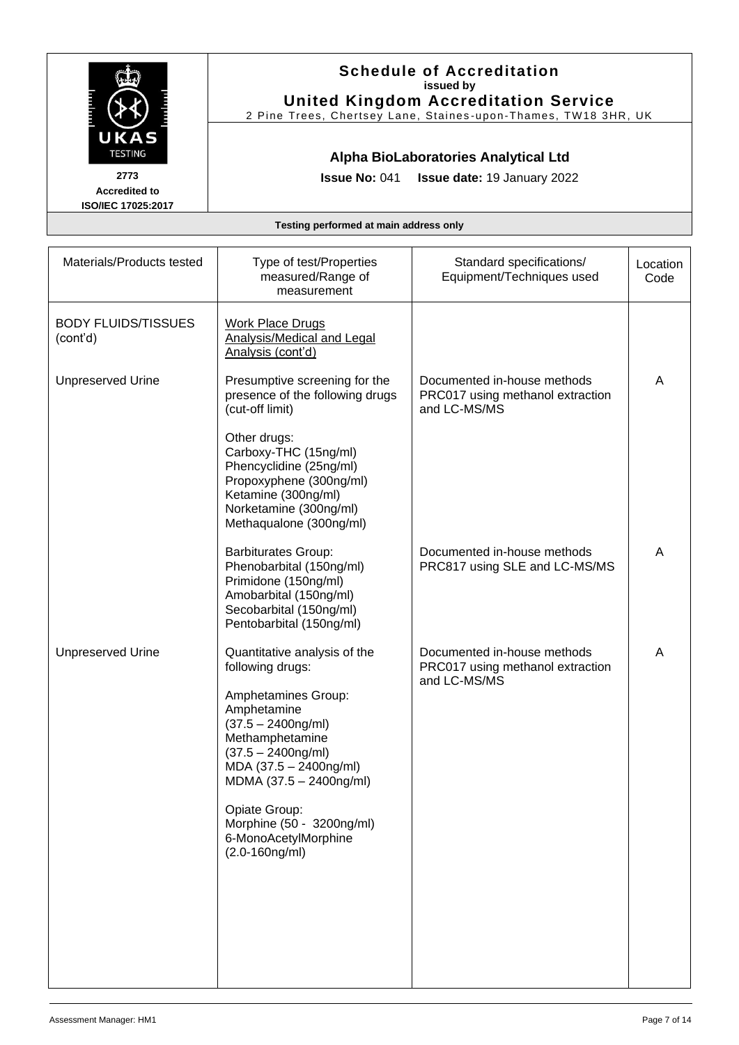|                                                                              |                                                                                                                                                                                                                                                                                                             | <b>Schedule of Accreditation</b><br>issued by<br><b>United Kingdom Accreditation Service</b><br>2 Pine Trees, Chertsey Lane, Staines-upon-Thames, TW18 3HR, UK |                  |
|------------------------------------------------------------------------------|-------------------------------------------------------------------------------------------------------------------------------------------------------------------------------------------------------------------------------------------------------------------------------------------------------------|----------------------------------------------------------------------------------------------------------------------------------------------------------------|------------------|
| UKAS<br><b>TESTING</b><br>2773<br><b>Accredited to</b><br>ISO/IEC 17025:2017 | <b>Issue No: 041</b>                                                                                                                                                                                                                                                                                        | Alpha BioLaboratories Analytical Ltd<br>Issue date: 19 January 2022                                                                                            |                  |
|                                                                              | Testing performed at main address only                                                                                                                                                                                                                                                                      |                                                                                                                                                                |                  |
| Materials/Products tested                                                    | Type of test/Properties<br>measured/Range of<br>measurement                                                                                                                                                                                                                                                 | Standard specifications/<br>Equipment/Techniques used                                                                                                          | Location<br>Code |
| <b>BODY FLUIDS/TISSUES</b><br>(cont'd)                                       | <b>Work Place Drugs</b><br>Analysis/Medical and Legal<br>Analysis (cont'd)                                                                                                                                                                                                                                  |                                                                                                                                                                |                  |
| <b>Unpreserved Urine</b>                                                     | Presumptive screening for the<br>presence of the following drugs<br>(cut-off limit)                                                                                                                                                                                                                         | Documented in-house methods<br>PRC017 using methanol extraction<br>and LC-MS/MS                                                                                | A                |
|                                                                              | Other drugs:<br>Carboxy-THC (15ng/ml)<br>Phencyclidine (25ng/ml)<br>Propoxyphene (300ng/ml)<br>Ketamine (300ng/ml)<br>Norketamine (300ng/ml)<br>Methaqualone (300ng/ml)                                                                                                                                     |                                                                                                                                                                |                  |
|                                                                              | <b>Barbiturates Group:</b><br>Phenobarbital (150ng/ml)<br>Primidone (150ng/ml)<br>Amobarbital (150ng/ml)<br>Secobarbital (150ng/ml)<br>Pentobarbital (150ng/ml)                                                                                                                                             | Documented in-house methods<br>PRC817 using SLE and LC-MS/MS                                                                                                   | A                |
| <b>Unpreserved Urine</b>                                                     | Quantitative analysis of the<br>following drugs:<br>Amphetamines Group:<br>Amphetamine<br>$(37.5 - 2400ng/ml)$<br>Methamphetamine<br>$(37.5 - 2400ng/ml)$<br>MDA (37.5 - 2400ng/ml)<br>MDMA (37.5 - 2400ng/ml)<br>Opiate Group:<br>Morphine (50 - 3200ng/ml)<br>6-MonoAcetylMorphine<br>$(2.0 - 160$ ng/ml) | Documented in-house methods<br>PRC017 using methanol extraction<br>and LC-MS/MS                                                                                | A                |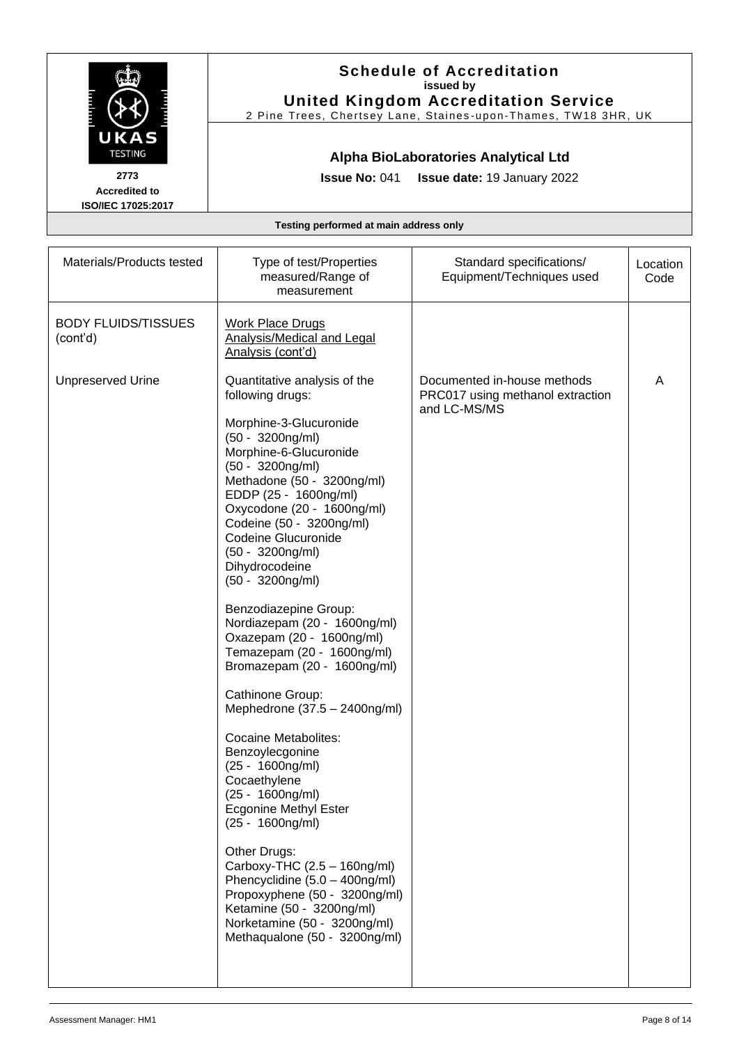|                                                                      |                                                                                                                                                                                                                                                                                                                                                                                                                                                                                                                                                                                                                                                                                                                                                                                                                                                                                                                                                               | <b>Schedule of Accreditation</b><br>issued by<br><b>United Kingdom Accreditation Service</b><br>2 Pine Trees, Chertsey Lane, Staines-upon-Thames, TW18 3HR, UK |                  |
|----------------------------------------------------------------------|---------------------------------------------------------------------------------------------------------------------------------------------------------------------------------------------------------------------------------------------------------------------------------------------------------------------------------------------------------------------------------------------------------------------------------------------------------------------------------------------------------------------------------------------------------------------------------------------------------------------------------------------------------------------------------------------------------------------------------------------------------------------------------------------------------------------------------------------------------------------------------------------------------------------------------------------------------------|----------------------------------------------------------------------------------------------------------------------------------------------------------------|------------------|
| <b>TESTING</b><br>2773<br><b>Accredited to</b><br>ISO/IEC 17025:2017 | <b>Issue No: 041</b>                                                                                                                                                                                                                                                                                                                                                                                                                                                                                                                                                                                                                                                                                                                                                                                                                                                                                                                                          | Alpha BioLaboratories Analytical Ltd<br><b>Issue date: 19 January 2022</b>                                                                                     |                  |
|                                                                      | Testing performed at main address only                                                                                                                                                                                                                                                                                                                                                                                                                                                                                                                                                                                                                                                                                                                                                                                                                                                                                                                        |                                                                                                                                                                |                  |
| Materials/Products tested                                            | Type of test/Properties<br>measured/Range of<br>measurement                                                                                                                                                                                                                                                                                                                                                                                                                                                                                                                                                                                                                                                                                                                                                                                                                                                                                                   | Standard specifications/<br>Equipment/Techniques used                                                                                                          | Location<br>Code |
| <b>BODY FLUIDS/TISSUES</b><br>(cont'd)                               | <b>Work Place Drugs</b><br><b>Analysis/Medical and Legal</b><br>Analysis (cont'd)                                                                                                                                                                                                                                                                                                                                                                                                                                                                                                                                                                                                                                                                                                                                                                                                                                                                             |                                                                                                                                                                |                  |
| <b>Unpreserved Urine</b>                                             | Quantitative analysis of the<br>following drugs:<br>Morphine-3-Glucuronide<br>(50 - 3200ng/ml)<br>Morphine-6-Glucuronide<br>$(50 - 3200$ ng/ml)<br>Methadone (50 - 3200ng/ml)<br>EDDP (25 - 1600ng/ml)<br>Oxycodone (20 - 1600ng/ml)<br>Codeine (50 - 3200ng/ml)<br>Codeine Glucuronide<br>$(50 - 3200$ ng/ml)<br>Dihydrocodeine<br>$(50 - 3200$ ng/ml)<br>Benzodiazepine Group:<br>Nordiazepam (20 - 1600ng/ml)<br>Oxazepam (20 - 1600ng/ml)<br>Temazepam (20 - 1600ng/ml)<br>Bromazepam (20 - 1600ng/ml)<br>Cathinone Group:<br>Mephedrone (37.5 - 2400ng/ml)<br><b>Cocaine Metabolites:</b><br>Benzoylecgonine<br>$(25 - 1600ng/ml)$<br>Cocaethylene<br>(25 - 1600ng/ml)<br><b>Ecgonine Methyl Ester</b><br>$(25 - 1600 \text{ng/ml})$<br>Other Drugs:<br>Carboxy-THC $(2.5 - 160$ ng/ml)<br>Phencyclidine (5.0 - 400ng/ml)<br>Propoxyphene (50 - 3200ng/ml)<br>Ketamine (50 - 3200ng/ml)<br>Norketamine (50 - 3200ng/ml)<br>Methaqualone (50 - 3200ng/ml) | Documented in-house methods<br>PRC017 using methanol extraction<br>and LC-MS/MS                                                                                | A                |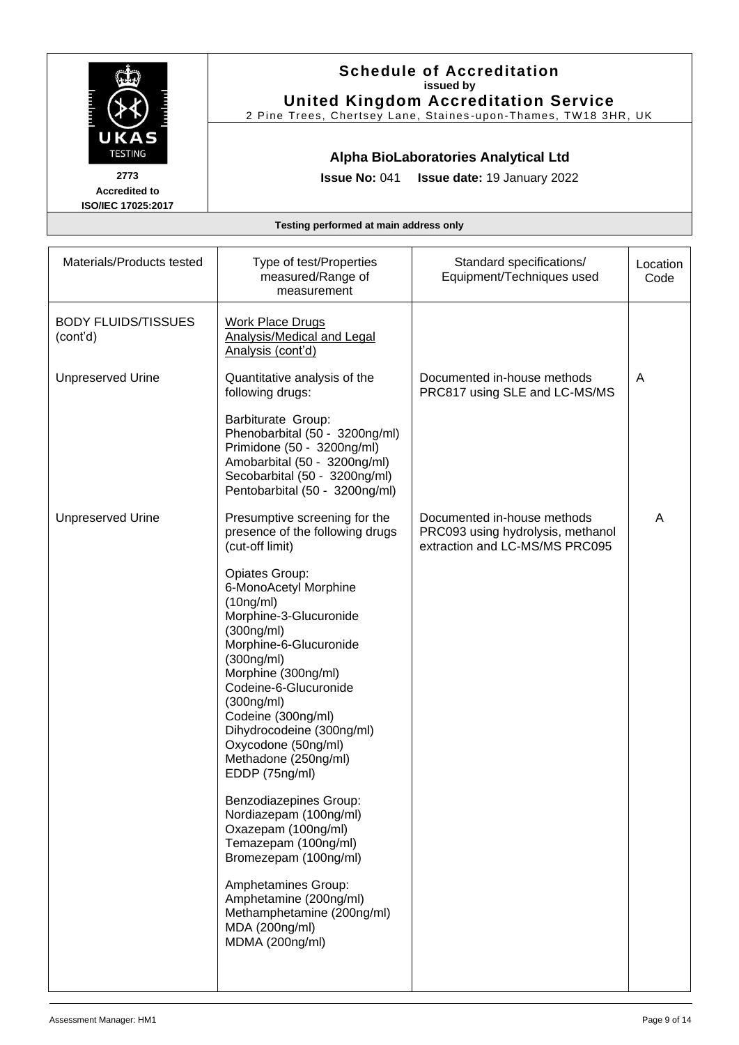|                                        |                                                                                                                                                                                                                                                                                                                        | <b>Schedule of Accreditation</b><br>issued by<br><b>United Kingdom Accreditation Service</b><br>2 Pine Trees, Chertsey Lane, Staines-upon-Thames, TW18 3HR, UK |                  |
|----------------------------------------|------------------------------------------------------------------------------------------------------------------------------------------------------------------------------------------------------------------------------------------------------------------------------------------------------------------------|----------------------------------------------------------------------------------------------------------------------------------------------------------------|------------------|
| UKAS<br><b>TESTING</b>                 |                                                                                                                                                                                                                                                                                                                        | Alpha BioLaboratories Analytical Ltd                                                                                                                           |                  |
| 2773<br><b>Accredited to</b>           | <b>Issue No: 041</b>                                                                                                                                                                                                                                                                                                   | Issue date: 19 January 2022                                                                                                                                    |                  |
| ISO/IEC 17025:2017                     | Testing performed at main address only                                                                                                                                                                                                                                                                                 |                                                                                                                                                                |                  |
|                                        |                                                                                                                                                                                                                                                                                                                        |                                                                                                                                                                |                  |
| Materials/Products tested              | Type of test/Properties<br>measured/Range of<br>measurement                                                                                                                                                                                                                                                            | Standard specifications/<br>Equipment/Techniques used                                                                                                          | Location<br>Code |
| <b>BODY FLUIDS/TISSUES</b><br>(cont'd) | <b>Work Place Drugs</b><br>Analysis/Medical and Legal<br>Analysis (cont'd)                                                                                                                                                                                                                                             |                                                                                                                                                                |                  |
| <b>Unpreserved Urine</b>               | Quantitative analysis of the<br>following drugs:                                                                                                                                                                                                                                                                       | Documented in-house methods<br>PRC817 using SLE and LC-MS/MS                                                                                                   | A                |
|                                        | Barbiturate Group:<br>Phenobarbital (50 - 3200ng/ml)<br>Primidone (50 - 3200ng/ml)<br>Amobarbital (50 - 3200ng/ml)<br>Secobarbital (50 - 3200ng/ml)<br>Pentobarbital (50 - 3200ng/ml)                                                                                                                                  |                                                                                                                                                                |                  |
| <b>Unpreserved Urine</b>               | Presumptive screening for the<br>presence of the following drugs<br>(cut-off limit)                                                                                                                                                                                                                                    | Documented in-house methods<br>PRC093 using hydrolysis, methanol<br>extraction and LC-MS/MS PRC095                                                             | A                |
|                                        | Opiates Group:<br>6-MonoAcetyl Morphine<br>(10ng/ml)<br>Morphine-3-Glucuronide<br>(300ng/ml)<br>Morphine-6-Glucuronide<br>(300ng/ml)<br>Morphine (300ng/ml)<br>Codeine-6-Glucuronide<br>(300ng/ml)<br>Codeine (300ng/ml)<br>Dihydrocodeine (300ng/ml)<br>Oxycodone (50ng/ml)<br>Methadone (250ng/ml)<br>EDDP (75ng/ml) |                                                                                                                                                                |                  |
|                                        | Benzodiazepines Group:<br>Nordiazepam (100ng/ml)<br>Oxazepam (100ng/ml)<br>Temazepam (100ng/ml)<br>Bromezepam (100ng/ml)                                                                                                                                                                                               |                                                                                                                                                                |                  |
|                                        | Amphetamines Group:<br>Amphetamine (200ng/ml)<br>Methamphetamine (200ng/ml)<br>MDA (200ng/ml)<br>MDMA (200ng/ml)                                                                                                                                                                                                       |                                                                                                                                                                |                  |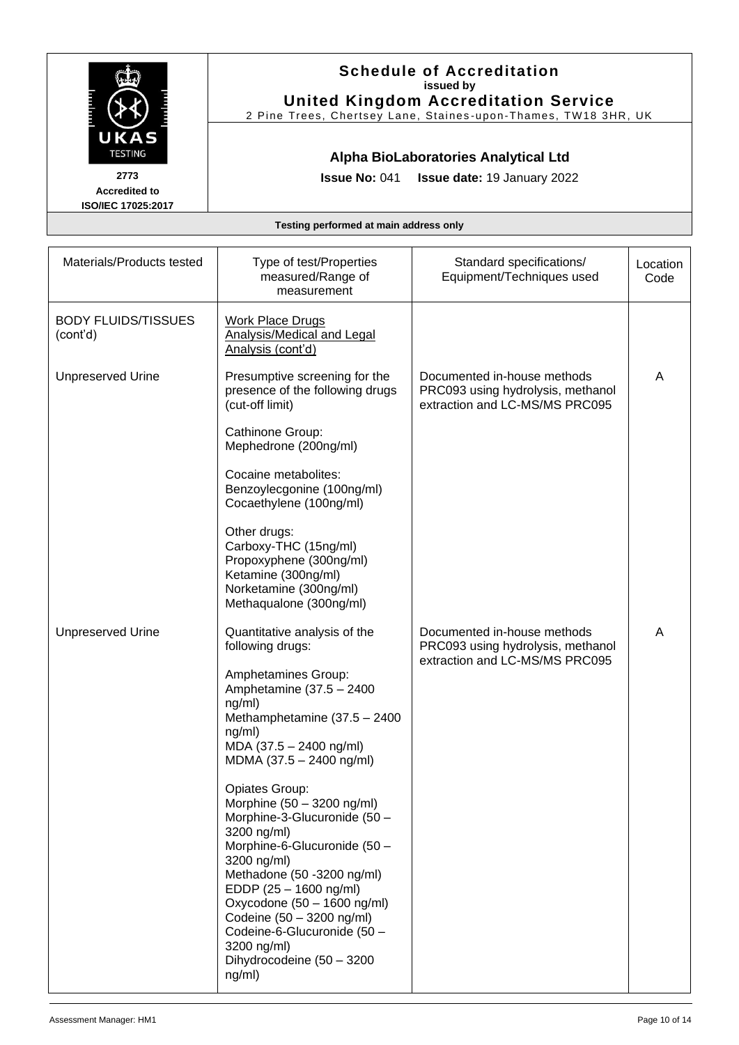|                                                                              | issued by<br><b>United Kingdom Accreditation Service</b><br>2 Pine Trees, Chertsey Lane, Staines-upon-Thames, TW18 3HR, UK                                                                                                                                                                                                                                                                                                                                                                                                                                            |                                                                                                    |                  |
|------------------------------------------------------------------------------|-----------------------------------------------------------------------------------------------------------------------------------------------------------------------------------------------------------------------------------------------------------------------------------------------------------------------------------------------------------------------------------------------------------------------------------------------------------------------------------------------------------------------------------------------------------------------|----------------------------------------------------------------------------------------------------|------------------|
| UKAS<br><b>TESTING</b><br>2773<br><b>Accredited to</b><br>ISO/IEC 17025:2017 | <b>Issue No: 041</b>                                                                                                                                                                                                                                                                                                                                                                                                                                                                                                                                                  | Alpha BioLaboratories Analytical Ltd<br>Issue date: 19 January 2022                                |                  |
|                                                                              | Testing performed at main address only                                                                                                                                                                                                                                                                                                                                                                                                                                                                                                                                |                                                                                                    |                  |
| Materials/Products tested                                                    | Type of test/Properties<br>measured/Range of<br>measurement                                                                                                                                                                                                                                                                                                                                                                                                                                                                                                           | Standard specifications/<br>Equipment/Techniques used                                              | Location<br>Code |
| <b>BODY FLUIDS/TISSUES</b><br>(cont'd)                                       | <b>Work Place Drugs</b><br>Analysis/Medical and Legal<br>Analysis (cont'd)                                                                                                                                                                                                                                                                                                                                                                                                                                                                                            |                                                                                                    |                  |
| <b>Unpreserved Urine</b>                                                     | Presumptive screening for the<br>presence of the following drugs<br>(cut-off limit)<br>Cathinone Group:<br>Mephedrone (200ng/ml)<br>Cocaine metabolites:<br>Benzoylecgonine (100ng/ml)<br>Cocaethylene (100ng/ml)<br>Other drugs:<br>Carboxy-THC (15ng/ml)<br>Propoxyphene (300ng/ml)<br>Ketamine (300ng/ml)<br>Norketamine (300ng/ml)<br>Methaqualone (300ng/ml)                                                                                                                                                                                                     | Documented in-house methods<br>PRC093 using hydrolysis, methanol<br>extraction and LC-MS/MS PRC095 | A                |
| <b>Unpreserved Urine</b>                                                     | Quantitative analysis of the<br>following drugs:<br>Amphetamines Group:<br>Amphetamine (37.5 - 2400<br>ng/ml)<br>Methamphetamine (37.5 - 2400<br>ng/ml)<br>MDA (37.5 - 2400 ng/ml)<br>MDMA (37.5 - 2400 ng/ml)<br>Opiates Group:<br>Morphine (50 - 3200 ng/ml)<br>Morphine-3-Glucuronide (50 -<br>3200 ng/ml)<br>Morphine-6-Glucuronide (50 -<br>3200 ng/ml)<br>Methadone (50 -3200 ng/ml)<br>EDDP (25 - 1600 ng/ml)<br>Oxycodone (50 - 1600 ng/ml)<br>Codeine (50 - 3200 ng/ml)<br>Codeine-6-Glucuronide (50 -<br>3200 ng/ml)<br>Dihydrocodeine (50 - 3200<br>ng/ml) | Documented in-house methods<br>PRC093 using hydrolysis, methanol<br>extraction and LC-MS/MS PRC095 | A                |

**Schedule of Accreditation**

 $\overline{C}$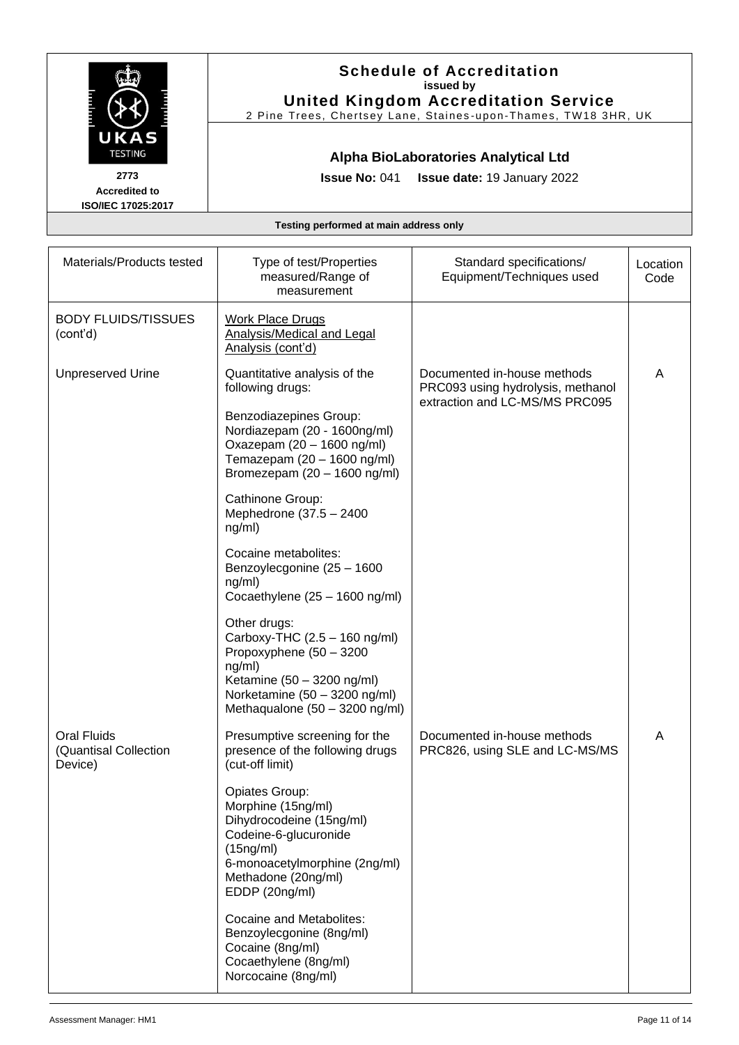|                                                                              | <b>Schedule of Accreditation</b><br>issued by<br><b>United Kingdom Accreditation Service</b>                                                                                                                                                                                                                                                                                                                                                                                                                            |                                                                                                                                       |                  |
|------------------------------------------------------------------------------|-------------------------------------------------------------------------------------------------------------------------------------------------------------------------------------------------------------------------------------------------------------------------------------------------------------------------------------------------------------------------------------------------------------------------------------------------------------------------------------------------------------------------|---------------------------------------------------------------------------------------------------------------------------------------|------------------|
| UKAS<br><b>TESTING</b><br>2773<br><b>Accredited to</b><br>ISO/IEC 17025:2017 | <b>Issue No: 041</b>                                                                                                                                                                                                                                                                                                                                                                                                                                                                                                    | 2 Pine Trees, Chertsey Lane, Staines-upon-Thames, TW18 3HR, UK<br>Alpha BioLaboratories Analytical Ltd<br>Issue date: 19 January 2022 |                  |
|                                                                              | Testing performed at main address only                                                                                                                                                                                                                                                                                                                                                                                                                                                                                  |                                                                                                                                       |                  |
| Materials/Products tested                                                    | Type of test/Properties<br>measured/Range of<br>measurement                                                                                                                                                                                                                                                                                                                                                                                                                                                             | Standard specifications/<br>Equipment/Techniques used                                                                                 | Location<br>Code |
| <b>BODY FLUIDS/TISSUES</b><br>(cont'd)                                       | <b>Work Place Drugs</b><br><b>Analysis/Medical and Legal</b><br>Analysis (cont'd)                                                                                                                                                                                                                                                                                                                                                                                                                                       |                                                                                                                                       |                  |
| <b>Unpreserved Urine</b>                                                     | Quantitative analysis of the<br>following drugs:<br>Benzodiazepines Group:<br>Nordiazepam (20 - 1600ng/ml)<br>Oxazepam (20 - 1600 ng/ml)<br>Temazepam (20 - 1600 ng/ml)<br>Bromezepam (20 - 1600 ng/ml)<br>Cathinone Group:<br>Mephedrone (37.5 - 2400<br>ng/ml)<br>Cocaine metabolites:<br>Benzoylecgonine (25 - 1600<br>ng/ml)<br>Cocaethylene (25 - 1600 ng/ml)<br>Other drugs:<br>Carboxy-THC (2.5 - 160 ng/ml)<br>Propoxyphene (50 - 3200<br>ng/ml)<br>Ketamine (50 - 3200 ng/ml)<br>Norketamine (50 - 3200 ng/ml) | Documented in-house methods<br>PRC093 using hydrolysis, methanol<br>extraction and LC-MS/MS PRC095                                    | A                |
| <b>Oral Fluids</b><br>(Quantisal Collection<br>Device)                       | Methaqualone (50 - 3200 ng/ml)<br>Presumptive screening for the<br>presence of the following drugs<br>(cut-off limit)<br>Opiates Group:<br>Morphine (15ng/ml)<br>Dihydrocodeine (15ng/ml)<br>Codeine-6-glucuronide<br>(15ng/ml)<br>6-monoacetylmorphine (2ng/ml)<br>Methadone (20ng/ml)<br>EDDP (20ng/ml)<br>Cocaine and Metabolites:<br>Benzoylecgonine (8ng/ml)<br>Cocaine (8ng/ml)<br>Cocaethylene (8ng/ml)<br>Norcocaine (8ng/ml)                                                                                   | Documented in-house methods<br>PRC826, using SLE and LC-MS/MS                                                                         | A                |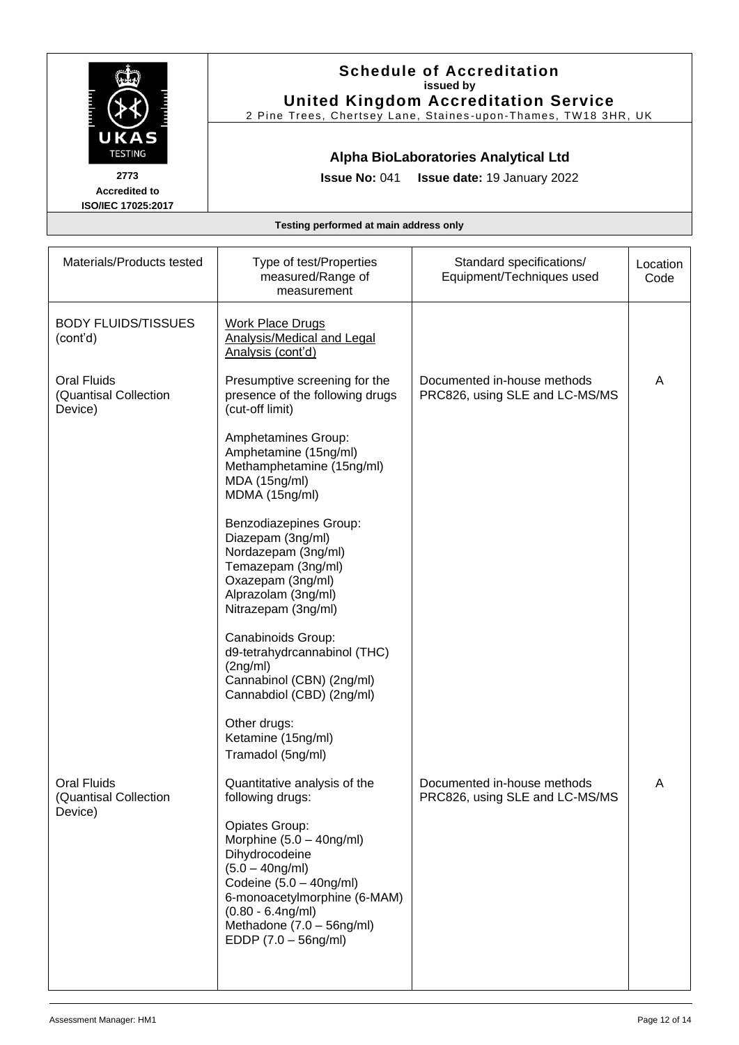|                                                                              | <b>Schedule of Accreditation</b><br>issued by<br><b>United Kingdom Accreditation Service</b><br>2 Pine Trees, Chertsey Lane, Staines-upon-Thames, TW18 3HR, UK                                                                     |                                                               |                  |  |  |
|------------------------------------------------------------------------------|------------------------------------------------------------------------------------------------------------------------------------------------------------------------------------------------------------------------------------|---------------------------------------------------------------|------------------|--|--|
| UKAS<br><b>TESTING</b><br>2773<br><b>Accredited to</b><br>ISO/IEC 17025:2017 | Alpha BioLaboratories Analytical Ltd<br><b>Issue No: 041</b><br>Issue date: 19 January 2022                                                                                                                                        |                                                               |                  |  |  |
| Testing performed at main address only                                       |                                                                                                                                                                                                                                    |                                                               |                  |  |  |
| Materials/Products tested                                                    | Type of test/Properties<br>measured/Range of<br>measurement                                                                                                                                                                        | Standard specifications/<br>Equipment/Techniques used         | Location<br>Code |  |  |
| <b>BODY FLUIDS/TISSUES</b><br>(cont'd)                                       | <b>Work Place Drugs</b><br>Analysis/Medical and Legal<br>Analysis (cont'd)                                                                                                                                                         |                                                               |                  |  |  |
| <b>Oral Fluids</b><br>(Quantisal Collection<br>Device)                       | Presumptive screening for the<br>presence of the following drugs<br>(cut-off limit)                                                                                                                                                | Documented in-house methods<br>PRC826, using SLE and LC-MS/MS | Α                |  |  |
|                                                                              | Amphetamines Group:<br>Amphetamine (15ng/ml)<br>Methamphetamine (15ng/ml)<br>MDA (15ng/ml)<br>MDMA (15ng/ml)                                                                                                                       |                                                               |                  |  |  |
|                                                                              | Benzodiazepines Group:<br>Diazepam (3ng/ml)<br>Nordazepam (3ng/ml)<br>Temazepam (3ng/ml)<br>Oxazepam (3ng/ml)<br>Alprazolam (3ng/ml)<br>Nitrazepam (3ng/ml)                                                                        |                                                               |                  |  |  |
|                                                                              | Canabinoids Group:<br>d9-tetrahydrcannabinol (THC)<br>(2nq/ml)<br>Cannabinol (CBN) (2ng/ml)<br>Cannabdiol (CBD) (2ng/ml)                                                                                                           |                                                               |                  |  |  |
|                                                                              | Other drugs:<br>Ketamine (15ng/ml)<br>Tramadol (5ng/ml)                                                                                                                                                                            |                                                               |                  |  |  |
| <b>Oral Fluids</b><br>(Quantisal Collection<br>Device)                       | Quantitative analysis of the<br>following drugs:                                                                                                                                                                                   | Documented in-house methods<br>PRC826, using SLE and LC-MS/MS | A                |  |  |
|                                                                              | Opiates Group:<br>Morphine $(5.0 - 40$ ng/ml)<br>Dihydrocodeine<br>$(5.0 - 40$ ng/ml)<br>Codeine $(5.0 - 40$ ng/ml)<br>6-monoacetylmorphine (6-MAM)<br>$(0.80 - 6.4$ ng/ml)<br>Methadone (7.0 - 56ng/ml)<br>$EDDP (7.0 - 56ng/ml)$ |                                                               |                  |  |  |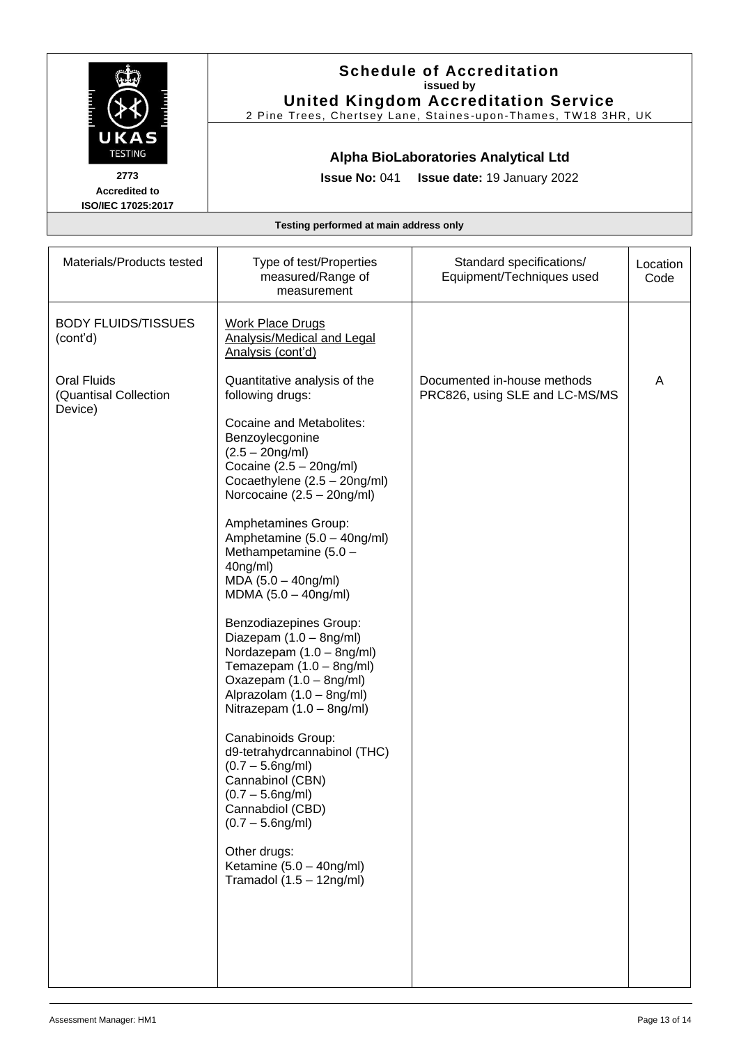|                                                                              | <b>Schedule of Accreditation</b><br>issued by<br><b>United Kingdom Accreditation Service</b><br>2 Pine Trees, Chertsey Lane, Staines-upon-Thames, TW18 3HR, UK                                                                                                                                                                                                                                                                                                                                                                                                                                                                                                                                                                                                                                                      |                                                               |                  |  |  |  |
|------------------------------------------------------------------------------|---------------------------------------------------------------------------------------------------------------------------------------------------------------------------------------------------------------------------------------------------------------------------------------------------------------------------------------------------------------------------------------------------------------------------------------------------------------------------------------------------------------------------------------------------------------------------------------------------------------------------------------------------------------------------------------------------------------------------------------------------------------------------------------------------------------------|---------------------------------------------------------------|------------------|--|--|--|
| UKAS<br><b>TESTING</b><br>2773<br><b>Accredited to</b><br>ISO/IEC 17025:2017 | Alpha BioLaboratories Analytical Ltd<br><b>Issue No: 041</b><br><b>Issue date: 19 January 2022</b>                                                                                                                                                                                                                                                                                                                                                                                                                                                                                                                                                                                                                                                                                                                  |                                                               |                  |  |  |  |
| Testing performed at main address only                                       |                                                                                                                                                                                                                                                                                                                                                                                                                                                                                                                                                                                                                                                                                                                                                                                                                     |                                                               |                  |  |  |  |
| Materials/Products tested                                                    | Type of test/Properties<br>measured/Range of<br>measurement                                                                                                                                                                                                                                                                                                                                                                                                                                                                                                                                                                                                                                                                                                                                                         | Standard specifications/<br>Equipment/Techniques used         | Location<br>Code |  |  |  |
| <b>BODY FLUIDS/TISSUES</b><br>(cont'd)                                       | <b>Work Place Drugs</b><br>Analysis/Medical and Legal<br>Analysis (cont'd)                                                                                                                                                                                                                                                                                                                                                                                                                                                                                                                                                                                                                                                                                                                                          |                                                               |                  |  |  |  |
| <b>Oral Fluids</b><br>(Quantisal Collection<br>Device)                       | Quantitative analysis of the<br>following drugs:<br>Cocaine and Metabolites:<br>Benzoylecgonine<br>$(2.5 - 20ng/ml)$<br>Cocaine $(2.5 - 20$ ng/ml)<br>Cocaethylene (2.5 - 20ng/ml)<br>Norcocaine (2.5 - 20ng/ml)<br>Amphetamines Group:<br>Amphetamine (5.0 - 40ng/ml)<br>Methampetamine $(5.0 -$<br>$40ng/ml$ )<br>$MDA (5.0 - 40ng/ml)$<br>$MDMA (5.0 - 40ng/ml)$<br>Benzodiazepines Group:<br>Diazepam (1.0 - 8ng/ml)<br>Nordazepam (1.0 - 8ng/ml)<br>Temazepam (1.0 - 8ng/ml)<br>Oxazepam (1.0 - 8ng/ml)<br>Alprazolam (1.0 - 8ng/ml)<br>Nitrazepam (1.0 - 8ng/ml)<br>Canabinoids Group:<br>d9-tetrahydrcannabinol (THC)<br>$(0.7 - 5.6$ ng/ml)<br>Cannabinol (CBN)<br>$(0.7 - 5.6$ ng/ml)<br>Cannabdiol (CBD)<br>$(0.7 - 5.6$ ng/ml)<br>Other drugs:<br>Ketamine (5.0 - 40ng/ml)<br>Tramadol $(1.5 - 12ng/ml)$ | Documented in-house methods<br>PRC826, using SLE and LC-MS/MS | A                |  |  |  |